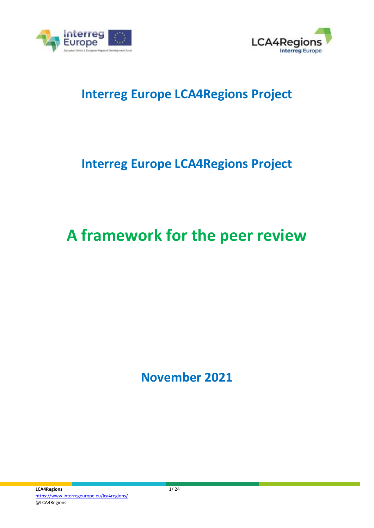



## **Interreg Europe LCA4Regions Project**

## **Interreg Europe LCA4Regions Project**

# **A framework for the peer review**

**November 2021**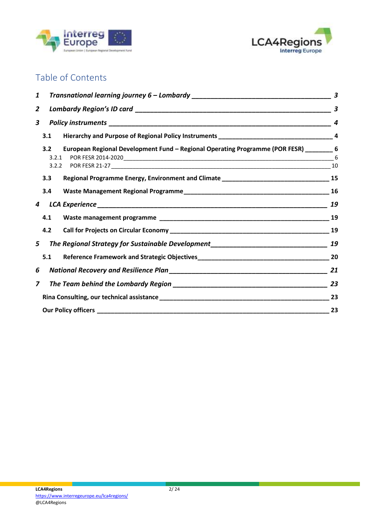



### Table of Contents

| 1              |                                                                                                       | $\boldsymbol{3}$ |
|----------------|-------------------------------------------------------------------------------------------------------|------------------|
| $\overline{2}$ |                                                                                                       | 3                |
| $\mathbf{3}$   |                                                                                                       |                  |
|                | 3.1                                                                                                   |                  |
|                | 3.2<br>European Regional Development Fund - Regional Operating Programme (POR FESR) _______6<br>3.2.1 |                  |
|                | 3.3                                                                                                   |                  |
|                | 3.4                                                                                                   |                  |
| 4              |                                                                                                       | 19               |
|                | 4.1                                                                                                   |                  |
|                | 4.2                                                                                                   |                  |
| 5              |                                                                                                       |                  |
|                | 5.1                                                                                                   |                  |
| 6              |                                                                                                       |                  |
| $\overline{z}$ |                                                                                                       |                  |
|                |                                                                                                       |                  |
|                |                                                                                                       | 23               |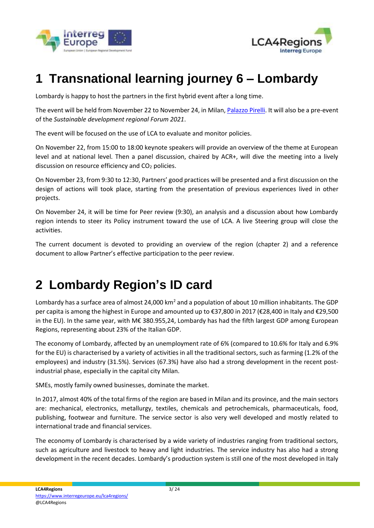



## <span id="page-2-0"></span>**1 Transnational learning journey 6 – Lombardy**

Lombardy is happy to host the partners in the first hybrid event after a long time.

The event will be held from November 22 to November 24, in Milan[, Palazzo Pirelli.](https://en.wikipedia.org/wiki/Pirelli_Tower) It will also be a pre-event of the *Sustainable development regional Forum 2021*.

The event will be focused on the use of LCA to evaluate and monitor policies.

On November 22, from 15:00 to 18:00 keynote speakers will provide an overview of the theme at European level and at national level. Then a panel discussion, chaired by ACR+, will dive the meeting into a lively discussion on resource efficiency and  $CO<sub>2</sub>$  policies.

On November 23, from 9:30 to 12:30, Partners' good practices will be presented and a first discussion on the design of actions will took place, starting from the presentation of previous experiences lived in other projects.

On November 24, it will be time for Peer review (9:30), an analysis and a discussion about how Lombardy region intends to steer its Policy instrument toward the use of LCA. A live Steering group will close the activities.

The current document is devoted to providing an overview of the region (chapter 2) and a reference document to allow Partner's effective participation to the peer review.

## <span id="page-2-1"></span>**2 Lombardy Region's ID card**

Lombardy has a surface area of almost 24,000 km<sup>2</sup> and a population of about 10 million inhabitants. The GDP per capita is among the highest in Europe and amounted up to €37,800 in 2017 (€28,400 in Italy and €29,500 in the EU). In the same year, with M€ 380.955,24, Lombardy has had the fifth largest GDP among European Regions, representing about 23% of the Italian GDP.

The economy of Lombardy, affected by an unemployment rate of 6% (compared to 10.6% for Italy and 6.9% for the EU) is characterised by a variety of activities in all the traditional sectors, such as farming (1.2% of the employees) and industry (31.5%). Services (67.3%) have also had a strong development in the recent postindustrial phase, especially in the capital city Milan.

SMEs, mostly family owned businesses, dominate the market.

In 2017, almost 40% of the total firms of the region are based in Milan and its province, and the main sectors are: mechanical, electronics, metallurgy, textiles, chemicals and petrochemicals, pharmaceuticals, food, publishing, footwear and furniture. The service sector is also very well developed and mostly related to international trade and financial services.

The economy of Lombardy is characterised by a wide variety of industries ranging from traditional sectors, such as agriculture and livestock to heavy and light industries. The service industry has also had a strong development in the recent decades. Lombardy's production system is still one of the most developed in Italy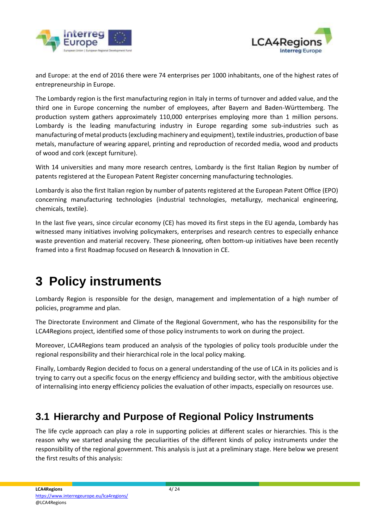



and Europe: at the end of 2016 there were 74 enterprises per 1000 inhabitants, one of the highest rates of entrepreneurship in Europe.

The Lombardy region is the first manufacturing region in Italy in terms of turnover and added value, and the third one in Europe concerning the number of employees, after Bayern and Baden-Württemberg. The production system gathers approximately 110,000 enterprises employing more than 1 million persons. Lombardy is the leading manufacturing industry in Europe regarding some sub-industries such as manufacturing of metal products (excluding machinery and equipment), textile industries, production of base metals, manufacture of wearing apparel, printing and reproduction of recorded media, wood and products of wood and cork (except furniture).

With 14 universities and many more research centres, Lombardy is the first Italian Region by number of patents registered at the European Patent Register concerning manufacturing technologies.

Lombardy is also the first Italian region by number of patents registered at the European Patent Office (EPO) concerning manufacturing technologies (industrial technologies, metallurgy, mechanical engineering, chemicals, textile).

In the last five years, since circular economy (CE) has moved its first steps in the EU agenda, Lombardy has witnessed many initiatives involving policymakers, enterprises and research centres to especially enhance waste prevention and material recovery. These pioneering, often bottom-up initiatives have been recently framed into a first Roadmap focused on Research & Innovation in CE.

## <span id="page-3-0"></span>**3 Policy instruments**

Lombardy Region is responsible for the design, management and implementation of a high number of policies, programme and plan.

The Directorate Environment and Climate of the Regional Government, who has the responsibility for the LCA4Regions project, identified some of those policy instruments to work on during the project.

Moreover, LCA4Regions team produced an analysis of the typologies of policy tools producible under the regional responsibility and their hierarchical role in the local policy making.

Finally, Lombardy Region decided to focus on a general understanding of the use of LCA in its policies and is trying to carry out a specific focus on the energy efficiency and building sector, with the ambitious objective of internalising into energy efficiency policies the evaluation of other impacts, especially on resources use.

### <span id="page-3-1"></span>**3.1 Hierarchy and Purpose of Regional Policy Instruments**

The life cycle approach can play a role in supporting policies at different scales or hierarchies. This is the reason why we started analysing the peculiarities of the different kinds of policy instruments under the responsibility of the regional government. This analysis is just at a preliminary stage. Here below we present the first results of this analysis: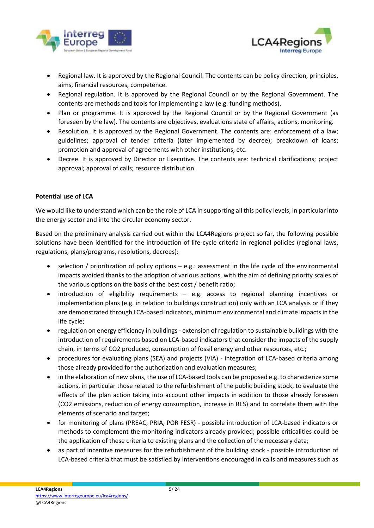



- Regional law. It is approved by the Regional Council. The contents can be policy direction, principles, aims, financial resources, competence.
- Regional regulation. It is approved by the Regional Council or by the Regional Government. The contents are methods and tools for implementing a law (e.g. funding methods).
- Plan or programme. It is approved by the Regional Council or by the Regional Government (as foreseen by the law). The contents are objectives, evaluations state of affairs, actions, monitoring.
- Resolution. It is approved by the Regional Government. The contents are: enforcement of a law; guidelines; approval of tender criteria (later implemented by decree); breakdown of loans; promotion and approval of agreements with other institutions, etc.
- Decree. It is approved by Director or Executive. The contents are: technical clarifications; project approval; approval of calls; resource distribution.

#### **Potential use of LCA**

We would like to understand which can be the role of LCA in supporting all this policy levels, in particular into the energy sector and into the circular economy sector.

Based on the preliminary analysis carried out within the LCA4Regions project so far, the following possible solutions have been identified for the introduction of life-cycle criteria in regional policies (regional laws, regulations, plans/programs, resolutions, decrees):

- selection / prioritization of policy options e.g.: assessment in the life cycle of the environmental impacts avoided thanks to the adoption of various actions, with the aim of defining priority scales of the various options on the basis of the best cost / benefit ratio;
- introduction of eligibility requirements e.g. access to regional planning incentives or implementation plans (e.g. in relation to buildings construction) only with an LCA analysis or if they are demonstrated through LCA-based indicators, minimum environmental and climate impacts in the life cycle;
- regulation on energy efficiency in buildings extension of regulation to sustainable buildings with the introduction of requirements based on LCA-based indicators that consider the impacts of the supply chain, in terms of CO2 produced, consumption of fossil energy and other resources, etc.;
- procedures for evaluating plans (SEA) and projects (VIA) integration of LCA-based criteria among those already provided for the authorization and evaluation measures;
- in the elaboration of new plans, the use of LCA-based tools can be proposed e.g. to characterize some actions, in particular those related to the refurbishment of the public building stock, to evaluate the effects of the plan action taking into account other impacts in addition to those already foreseen (CO2 emissions, reduction of energy consumption, increase in RES) and to correlate them with the elements of scenario and target;
- for monitoring of plans (PREAC, PRIA, POR FESR) possible introduction of LCA-based indicators or methods to complement the monitoring indicators already provided; possible criticalities could be the application of these criteria to existing plans and the collection of the necessary data;
- as part of incentive measures for the refurbishment of the building stock possible introduction of LCA-based criteria that must be satisfied by interventions encouraged in calls and measures such as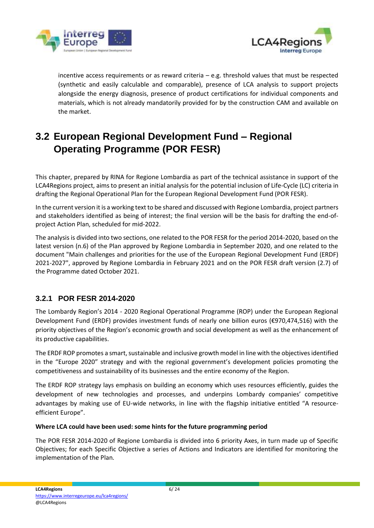



incentive access requirements or as reward criteria  $-$  e.g. threshold values that must be respected (synthetic and easily calculable and comparable), presence of LCA analysis to support projects alongside the energy diagnosis, presence of product certifications for individual components and materials, which is not already mandatorily provided for by the construction CAM and available on the market.

## <span id="page-5-0"></span>**3.2 European Regional Development Fund – Regional Operating Programme (POR FESR)**

This chapter, prepared by RINA for Regione Lombardia as part of the technical assistance in support of the LCA4Regions project, aims to present an initial analysis for the potential inclusion of Life-Cycle (LC) criteria in drafting the Regional Operational Plan for the European Regional Development Fund (POR FESR).

In the current version it is a working text to be shared and discussed with Regione Lombardia, project partners and stakeholders identified as being of interest; the final version will be the basis for drafting the end-ofproject Action Plan, scheduled for mid-2022.

The analysis is divided into two sections, one related to the POR FESR for the period 2014-2020, based on the latest version (n.6) of the Plan approved by Regione Lombardia in September 2020, and one related to the document "Main challenges and priorities for the use of the European Regional Development Fund (ERDF) 2021-2027", approved by Regione Lombardia in February 2021 and on the POR FESR draft version (2.7) of the Programme dated October 2021.

#### <span id="page-5-1"></span>**3.2.1 POR FESR 2014-2020**

The Lombardy Region's 2014 - 2020 Regional Operational Programme (ROP) under the European Regional Development Fund (ERDF) provides investment funds of nearly one billion euros (€970,474,516) with the priority objectives of the Region's economic growth and social development as well as the enhancement of its productive capabilities.

The ERDF ROP promotes a smart, sustainable and inclusive growth model in line with the objectives identified in the "Europe 2020" strategy and with the regional government's development policies promoting the competitiveness and sustainability of its businesses and the entire economy of the Region.

The ERDF ROP strategy lays emphasis on building an economy which uses resources efficiently, guides the development of new technologies and processes, and underpins Lombardy companies' competitive advantages by making use of EU-wide networks, in line with the flagship initiative entitled "A resourceefficient Europe".

#### **Where LCA could have been used: some hints for the future programming period**

The POR FESR 2014-2020 of Regione Lombardia is divided into 6 priority Axes, in turn made up of Specific Objectives; for each Specific Objective a series of Actions and Indicators are identified for monitoring the implementation of the Plan.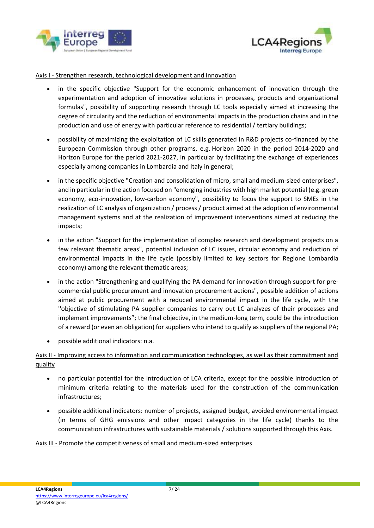



#### Axis I - Strengthen research, technological development and innovation

- in the specific objective "Support for the economic enhancement of innovation through the experimentation and adoption of innovative solutions in processes, products and organizational formulas", possibility of supporting research through LC tools especially aimed at increasing the degree of circularity and the reduction of environmental impacts in the production chains and in the production and use of energy with particular reference to residential / tertiary buildings;
- possibility of maximizing the exploitation of LC skills generated in R&D projects co-financed by the European Commission through other programs, e.g. Horizon 2020 in the period 2014-2020 and Horizon Europe for the period 2021-2027, in particular by facilitating the exchange of experiences especially among companies in Lombardia and Italy in general;
- in the specific objective "Creation and consolidation of micro, small and medium-sized enterprises", and in particular in the action focused on "emerging industries with high market potential (e.g. green economy, eco-innovation, low-carbon economy", possibility to focus the support to SMEs in the realization of LC analysis of organization / process / product aimed at the adoption of environmental management systems and at the realization of improvement interventions aimed at reducing the impacts;
- in the action "Support for the implementation of complex research and development projects on a few relevant thematic areas", potential inclusion of LC issues, circular economy and reduction of environmental impacts in the life cycle (possibly limited to key sectors for Regione Lombardia economy) among the relevant thematic areas;
- in the action "Strengthening and qualifying the PA demand for innovation through support for precommercial public procurement and innovation procurement actions", possible addition of actions aimed at public procurement with a reduced environmental impact in the life cycle, with the ''objective of stimulating PA supplier companies to carry out LC analyzes of their processes and implement improvements"; the final objective, in the medium-long term, could be the introduction of a reward (or even an obligation) for suppliers who intend to qualify as suppliers of the regional PA;
- possible additional indicators: n.a.

#### Axis II - Improving access to information and communication technologies, as well as their commitment and quality

- no particular potential for the introduction of LCA criteria, except for the possible introduction of minimum criteria relating to the materials used for the construction of the communication infrastructures;
- possible additional indicators: number of projects, assigned budget, avoided environmental impact (in terms of GHG emissions and other impact categories in the life cycle) thanks to the communication infrastructures with sustainable materials / solutions supported through this Axis.

#### Axis III - Promote the competitiveness of small and medium-sized enterprises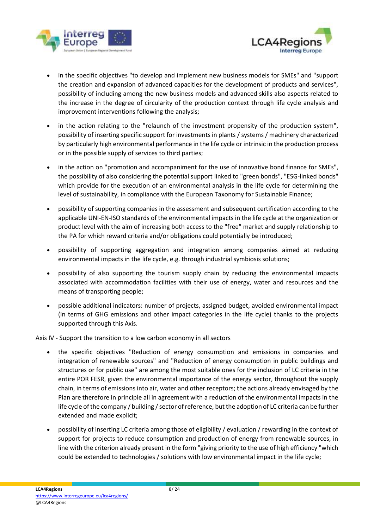



- in the specific objectives "to develop and implement new business models for SMEs" and "support the creation and expansion of advanced capacities for the development of products and services", possibility of including among the new business models and advanced skills also aspects related to the increase in the degree of circularity of the production context through life cycle analysis and improvement interventions following the analysis;
- in the action relating to the "relaunch of the investment propensity of the production system", possibility of inserting specific support for investments in plants / systems / machinery characterized by particularly high environmental performance in the life cycle or intrinsic in the production process or in the possible supply of services to third parties;
- in the action on "promotion and accompaniment for the use of innovative bond finance for SMEs", the possibility of also considering the potential support linked to "green bonds", "ESG-linked bonds" which provide for the execution of an environmental analysis in the life cycle for determining the level of sustainability, in compliance with the European Taxonomy for Sustainable Finance;
- possibility of supporting companies in the assessment and subsequent certification according to the applicable UNI-EN-ISO standards of the environmental impacts in the life cycle at the organization or product level with the aim of increasing both access to the "free" market and supply relationship to the PA for which reward criteria and/or obligations could potentially be introduced;
- possibility of supporting aggregation and integration among companies aimed at reducing environmental impacts in the life cycle, e.g. through industrial symbiosis solutions;
- possibility of also supporting the tourism supply chain by reducing the environmental impacts associated with accommodation facilities with their use of energy, water and resources and the means of transporting people;
- possible additional indicators: number of projects, assigned budget, avoided environmental impact (in terms of GHG emissions and other impact categories in the life cycle) thanks to the projects supported through this Axis.

#### Axis IV - Support the transition to a low carbon economy in all sectors

- the specific objectives "Reduction of energy consumption and emissions in companies and integration of renewable sources" and "Reduction of energy consumption in public buildings and structures or for public use" are among the most suitable ones for the inclusion of LC criteria in the entire POR FESR, given the environmental importance of the energy sector, throughout the supply chain, in terms of emissions into air, water and other receptors; the actions already envisaged by the Plan are therefore in principle all in agreement with a reduction of the environmental impacts in the life cycle of the company / building / sector of reference, but the adoption of LC criteria can be further extended and made explicit;
- possibility of inserting LC criteria among those of eligibility / evaluation / rewarding in the context of support for projects to reduce consumption and production of energy from renewable sources, in line with the criterion already present in the form "giving priority to the use of high efficiency "which could be extended to technologies / solutions with low environmental impact in the life cycle;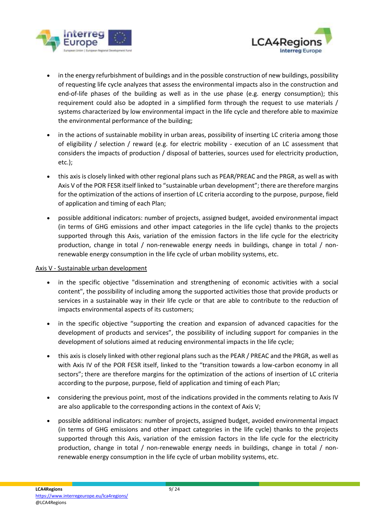



- in the energy refurbishment of buildings and in the possible construction of new buildings, possibility of requesting life cycle analyzes that assess the environmental impacts also in the construction and end-of-life phases of the building as well as in the use phase (e.g. energy consumption); this requirement could also be adopted in a simplified form through the request to use materials / systems characterized by low environmental impact in the life cycle and therefore able to maximize the environmental performance of the building;
- in the actions of sustainable mobility in urban areas, possibility of inserting LC criteria among those of eligibility / selection / reward (e.g. for electric mobility - execution of an LC assessment that considers the impacts of production / disposal of batteries, sources used for electricity production, etc.);
- this axis is closely linked with other regional plans such as PEAR/PREAC and the PRGR, as well as with Axis V of the POR FESR itself linked to "sustainable urban development"; there are therefore margins for the optimization of the actions of insertion of LC criteria according to the purpose, purpose, field of application and timing of each Plan;
- possible additional indicators: number of projects, assigned budget, avoided environmental impact (in terms of GHG emissions and other impact categories in the life cycle) thanks to the projects supported through this Axis, variation of the emission factors in the life cycle for the electricity production, change in total / non-renewable energy needs in buildings, change in total / nonrenewable energy consumption in the life cycle of urban mobility systems, etc.

#### Axis V - Sustainable urban development

- in the specific objective "dissemination and strengthening of economic activities with a social content", the possibility of including among the supported activities those that provide products or services in a sustainable way in their life cycle or that are able to contribute to the reduction of impacts environmental aspects of its customers;
- in the specific objective "supporting the creation and expansion of advanced capacities for the development of products and services", the possibility of including support for companies in the development of solutions aimed at reducing environmental impacts in the life cycle;
- this axis is closely linked with other regional plans such as the PEAR / PREAC and the PRGR, as well as with Axis IV of the POR FESR itself, linked to the "transition towards a low-carbon economy in all sectors"; there are therefore margins for the optimization of the actions of insertion of LC criteria according to the purpose, purpose, field of application and timing of each Plan;
- considering the previous point, most of the indications provided in the comments relating to Axis IV are also applicable to the corresponding actions in the context of Axis V;
- possible additional indicators: number of projects, assigned budget, avoided environmental impact (in terms of GHG emissions and other impact categories in the life cycle) thanks to the projects supported through this Axis, variation of the emission factors in the life cycle for the electricity production, change in total / non-renewable energy needs in buildings, change in total / nonrenewable energy consumption in the life cycle of urban mobility systems, etc.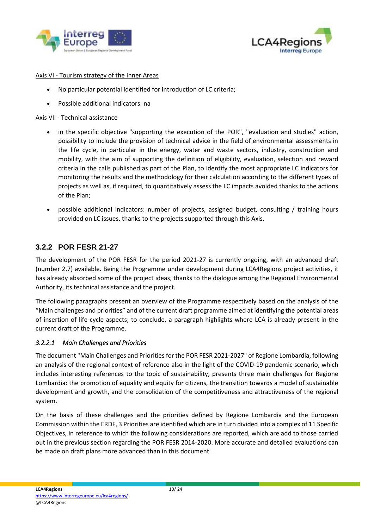



#### Axis VI - Tourism strategy of the Inner Areas

- No particular potential identified for introduction of LC criteria;
- Possible additional indicators: na

#### Axis VII - Technical assistance

- in the specific objective "supporting the execution of the POR", "evaluation and studies" action, possibility to include the provision of technical advice in the field of environmental assessments in the life cycle, in particular in the energy, water and waste sectors, industry, construction and mobility, with the aim of supporting the definition of eligibility, evaluation, selection and reward criteria in the calls published as part of the Plan, to identify the most appropriate LC indicators for monitoring the results and the methodology for their calculation according to the different types of projects as well as, if required, to quantitatively assess the LC impacts avoided thanks to the actions of the Plan;
- possible additional indicators: number of projects, assigned budget, consulting / training hours provided on LC issues, thanks to the projects supported through this Axis.

#### <span id="page-9-0"></span>**3.2.2 POR FESR 21-27**

The development of the POR FESR for the period 2021-27 is currently ongoing, with an advanced draft (number 2.7) available. Being the Programme under development during LCA4Regions project activities, it has already absorbed some of the project ideas, thanks to the dialogue among the Regional Environmental Authority, its technical assistance and the project.

The following paragraphs present an overview of the Programme respectively based on the analysis of the "Main challenges and priorities" and of the current draft programme aimed at identifying the potential areas of insertion of life-cycle aspects; to conclude, a paragraph highlights where LCA is already present in the current draft of the Programme.

#### *3.2.2.1 Main Challenges and Priorities*

The document "Main Challenges and Priorities for the POR FESR 2021-2027" of Regione Lombardia, following an analysis of the regional context of reference also in the light of the COVID-19 pandemic scenario, which includes interesting references to the topic of sustainability, presents three main challenges for Regione Lombardia: the promotion of equality and equity for citizens, the transition towards a model of sustainable development and growth, and the consolidation of the competitiveness and attractiveness of the regional system.

On the basis of these challenges and the priorities defined by Regione Lombardia and the European Commission within the ERDF, 3 Priorities are identified which are in turn divided into a complex of 11 Specific Objectives, in reference to which the following considerations are reported, which are add to those carried out in the previous section regarding the POR FESR 2014-2020. More accurate and detailed evaluations can be made on draft plans more advanced than in this document.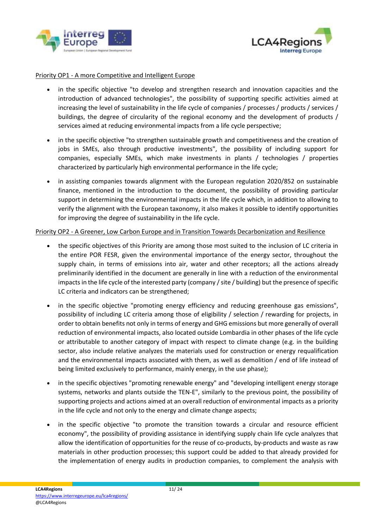



#### Priority OP1 - A more Competitive and Intelligent Europe

- in the specific objective "to develop and strengthen research and innovation capacities and the introduction of advanced technologies", the possibility of supporting specific activities aimed at increasing the level of sustainability in the life cycle of companies / processes / products / services / buildings, the degree of circularity of the regional economy and the development of products / services aimed at reducing environmental impacts from a life cycle perspective;
- in the specific objective "to strengthen sustainable growth and competitiveness and the creation of jobs in SMEs, also through productive investments", the possibility of including support for companies, especially SMEs, which make investments in plants / technologies / properties characterized by particularly high environmental performance in the life cycle;
- in assisting companies towards alignment with the European regulation 2020/852 on sustainable finance, mentioned in the introduction to the document, the possibility of providing particular support in determining the environmental impacts in the life cycle which, in addition to allowing to verify the alignment with the European taxonomy, it also makes it possible to identify opportunities for improving the degree of sustainability in the life cycle.

#### Priority OP2 - A Greener, Low Carbon Europe and in Transition Towards Decarbonization and Resilience

- the specific objectives of this Priority are among those most suited to the inclusion of LC criteria in the entire POR FESR, given the environmental importance of the energy sector, throughout the supply chain, in terms of emissions into air, water and other receptors; all the actions already preliminarily identified in the document are generally in line with a reduction of the environmental impacts in the life cycle of the interested party (company / site / building) but the presence of specific LC criteria and indicators can be strengthened;
- in the specific objective "promoting energy efficiency and reducing greenhouse gas emissions", possibility of including LC criteria among those of eligibility / selection / rewarding for projects, in order to obtain benefits not only in terms of energy and GHG emissions but more generally of overall reduction of environmental impacts, also located outside Lombardia in other phases of the life cycle or attributable to another category of impact with respect to climate change (e.g. in the building sector, also include relative analyzes the materials used for construction or energy requalification and the environmental impacts associated with them, as well as demolition / end of life instead of being limited exclusively to performance, mainly energy, in the use phase);
- in the specific objectives "promoting renewable energy" and "developing intelligent energy storage systems, networks and plants outside the TEN-E", similarly to the previous point, the possibility of supporting projects and actions aimed at an overall reduction of environmental impacts as a priority in the life cycle and not only to the energy and climate change aspects;
- in the specific objective "to promote the transition towards a circular and resource efficient economy", the possibility of providing assistance in identifying supply chain life cycle analyzes that allow the identification of opportunities for the reuse of co-products, by-products and waste as raw materials in other production processes; this support could be added to that already provided for the implementation of energy audits in production companies, to complement the analysis with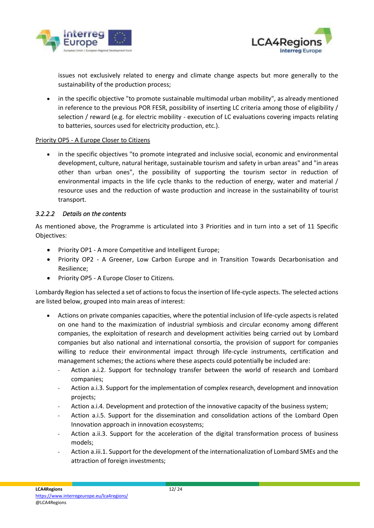



issues not exclusively related to energy and climate change aspects but more generally to the sustainability of the production process;

• in the specific objective "to promote sustainable multimodal urban mobility", as already mentioned in reference to the previous POR FESR, possibility of inserting LC criteria among those of eligibility / selection / reward (e.g. for electric mobility - execution of LC evaluations covering impacts relating to batteries, sources used for electricity production, etc.).

#### Priority OP5 - A Europe Closer to Citizens

in the specific objectives "to promote integrated and inclusive social, economic and environmental development, culture, natural heritage, sustainable tourism and safety in urban areas" and "in areas other than urban ones", the possibility of supporting the tourism sector in reduction of environmental impacts in the life cycle thanks to the reduction of energy, water and material / resource uses and the reduction of waste production and increase in the sustainability of tourist transport.

#### *3.2.2.2 Details on the contents*

As mentioned above, the Programme is articulated into 3 Priorities and in turn into a set of 11 Specific Objectives:

- Priority OP1 A more Competitive and Intelligent Europe;
- Priority OP2 A Greener, Low Carbon Europe and in Transition Towards Decarbonisation and Resilience;
- Priority OP5 A Europe Closer to Citizens.

Lombardy Region has selected a set of actions to focus the insertion of life-cycle aspects. The selected actions are listed below, grouped into main areas of interest:

- Actions on private companies capacities, where the potential inclusion of life-cycle aspects is related on one hand to the maximization of industrial symbiosis and circular economy among different companies, the exploitation of research and development activities being carried out by Lombard companies but also national and international consortia, the provision of support for companies willing to reduce their environmental impact through life-cycle instruments, certification and management schemes; the actions where these aspects could potentially be included are:
	- Action a.i.2. Support for technology transfer between the world of research and Lombard companies;
	- Action a.i.3. Support for the implementation of complex research, development and innovation projects;
	- Action a.i.4. Development and protection of the innovative capacity of the business system;
	- Action a.i.5. Support for the dissemination and consolidation actions of the Lombard Open Innovation approach in innovation ecosystems;
	- Action a.ii.3. Support for the acceleration of the digital transformation process of business models;
	- Action a.iii.1. Support for the development of the internationalization of Lombard SMEs and the attraction of foreign investments;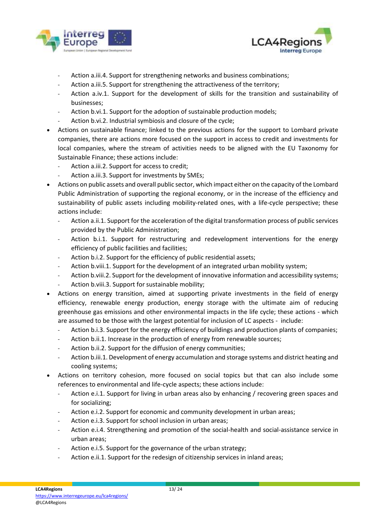



- Action a.iii.4. Support for strengthening networks and business combinations;
- Action a.iii.5. Support for strengthening the attractiveness of the territory;
- Action a.iv.1. Support for the development of skills for the transition and sustainability of businesses;
- Action b.vi.1. Support for the adoption of sustainable production models;
- Action b.vi.2. Industrial symbiosis and closure of the cycle;
- Actions on sustainable finance; linked to the previous actions for the support to Lombard private companies, there are actions more focused on the support in access to credit and investments for local companies, where the stream of activities needs to be aligned with the EU Taxonomy for Sustainable Finance; these actions include:
	- Action a.iii.2. Support for access to credit;
	- Action a.iii.3. Support for investments by SMEs;
- Actions on public assets and overall public sector, which impact either on the capacity of the Lombard Public Administration of supporting the regional economy, or in the increase of the efficiency and sustainability of public assets including mobility-related ones, with a life-cycle perspective; these actions include:
	- Action a.ii.1. Support for the acceleration of the digital transformation process of public services provided by the Public Administration;
	- Action b.i.1. Support for restructuring and redevelopment interventions for the energy efficiency of public facilities and facilities;
	- Action b.i.2. Support for the efficiency of public residential assets;
	- Action b.viii.1. Support for the development of an integrated urban mobility system;
	- Action b.viii.2. Support for the development of innovative information and accessibility systems;
	- Action b.viii.3. Support for sustainable mobility;
- Actions on energy transition, aimed at supporting private investments in the field of energy efficiency, renewable energy production, energy storage with the ultimate aim of reducing greenhouse gas emissions and other environmental impacts in the life cycle; these actions - which are assumed to be those with the largest potential for inclusion of LC aspects - include:
	- Action b.i.3. Support for the energy efficiency of buildings and production plants of companies;
	- Action b.ii.1. Increase in the production of energy from renewable sources;
	- Action b.ii.2. Support for the diffusion of energy communities;
	- Action b.iii.1. Development of energy accumulation and storage systems and district heating and cooling systems;
- Actions on territory cohesion, more focused on social topics but that can also include some references to environmental and life-cycle aspects; these actions include:
	- Action e.i.1. Support for living in urban areas also by enhancing / recovering green spaces and for socializing;
	- Action e.i.2. Support for economic and community development in urban areas;
	- Action e.i.3. Support for school inclusion in urban areas;
	- Action e.i.4. Strengthening and promotion of the social-health and social-assistance service in urban areas;
	- Action e.i.5. Support for the governance of the urban strategy;
	- Action e.ii.1. Support for the redesign of citizenship services in inland areas;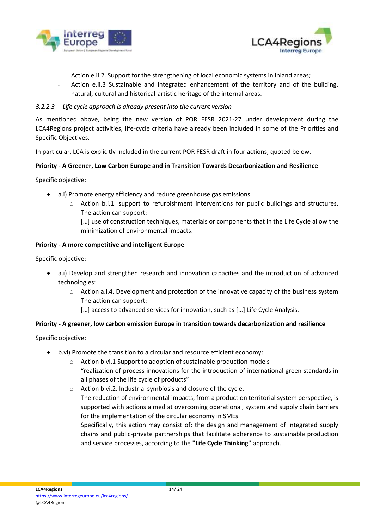



- Action e.ii.2. Support for the strengthening of local economic systems in inland areas;
- Action e.ii.3 Sustainable and integrated enhancement of the territory and of the building, natural, cultural and historical-artistic heritage of the internal areas.

#### *3.2.2.3 Life cycle approach is already present into the current version*

As mentioned above, being the new version of POR FESR 2021-27 under development during the LCA4Regions project activities, life-cycle criteria have already been included in some of the Priorities and Specific Objectives.

In particular, LCA is explicitly included in the current POR FESR draft in four actions, quoted below.

#### **Priority - A Greener, Low Carbon Europe and in Transition Towards Decarbonization and Resilience**

Specific objective:

- a.i) Promote energy efficiency and reduce greenhouse gas emissions
	- o Action b.i.1. support to refurbishment interventions for public buildings and structures. The action can support:

[...] use of construction techniques, materials or components that in the Life Cycle allow the minimization of environmental impacts.

#### **Priority - A more competitive and intelligent Europe**

Specific objective:

- a.i) Develop and strengthen research and innovation capacities and the introduction of advanced technologies:
	- o Action a.i.4. Development and protection of the innovative capacity of the business system The action can support:
		- [...] access to advanced services for innovation, such as [...] Life Cycle Analysis.

#### **Priority - A greener, low carbon emission Europe in transition towards decarbonization and resilience**

Specific objective:

- b.vi) Promote the transition to a circular and resource efficient economy:
	- o Action b.vi.1 Support to adoption of sustainable production models "realization of process innovations for the introduction of international green standards in all phases of the life cycle of products"
	- o Action b.vi.2. Industrial symbiosis and closure of the cycle.
		- The reduction of environmental impacts, from a production territorial system perspective, is supported with actions aimed at overcoming operational, system and supply chain barriers for the implementation of the circular economy in SMEs.

Specifically, this action may consist of: the design and management of integrated supply chains and public-private partnerships that facilitate adherence to sustainable production and service processes, according to the **"Life Cycle Thinking"** approach.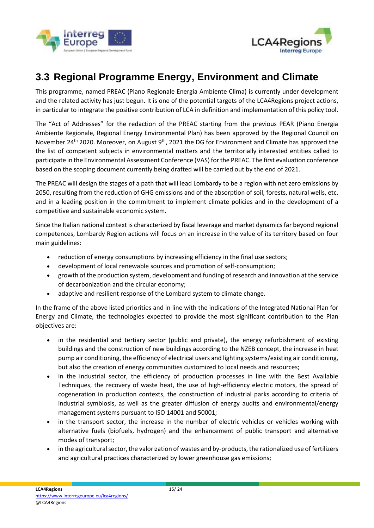



### <span id="page-14-0"></span>**3.3 Regional Programme Energy, Environment and Climate**

This programme, named PREAC (Piano Regionale Energia Ambiente Clima) is currently under development and the related activity has just begun. It is one of the potential targets of the LCA4Regions project actions, in particular to integrate the positive contribution of LCA in definition and implementation of this policy tool.

The "Act of Addresses" for the redaction of the PREAC starting from the previous PEAR (Piano Energia Ambiente Regionale, Regional Energy Environmental Plan) has been approved by the Regional Council on November 24<sup>th</sup> 2020. Moreover, on August 9<sup>th</sup>, 2021 the DG for Environment and Climate has approved the the list of competent subjects in environmental matters and the territorially interested entities called to participate in the Environmental Assessment Conference (VAS) for the PREAC. The first evaluation conference based on the scoping document currently being drafted will be carried out by the end of 2021.

The PREAC will design the stages of a path that will lead Lombardy to be a region with net zero emissions by 2050, resulting from the reduction of GHG emissions and of the absorption of soil, forests, natural wells, etc. and in a leading position in the commitment to implement climate policies and in the development of a competitive and sustainable economic system.

Since the Italian national context is characterized by fiscal leverage and market dynamics far beyond regional competences, Lombardy Region actions will focus on an increase in the value of its territory based on four main guidelines:

- reduction of energy consumptions by increasing efficiency in the final use sectors;
- development of local renewable sources and promotion of self-consumption;
- growth of the production system, development and funding of research and innovation at the service of decarbonization and the circular economy;
- adaptive and resilient response of the Lombard system to climate change.

In the frame of the above listed priorities and in line with the indications of the Integrated National Plan for Energy and Climate, the technologies expected to provide the most significant contribution to the Plan objectives are:

- in the residential and tertiary sector (public and private), the energy refurbishment of existing buildings and the construction of new buildings according to the NZEB concept, the increase in heat pump air conditioning, the efficiency of electrical users and lighting systems/existing air conditioning, but also the creation of energy communities customized to local needs and resources;
- in the industrial sector, the efficiency of production processes in line with the Best Available Techniques, the recovery of waste heat, the use of high-efficiency electric motors, the spread of cogeneration in production contexts, the construction of industrial parks according to criteria of industrial symbiosis, as well as the greater diffusion of energy audits and environmental/energy management systems pursuant to ISO 14001 and 50001;
- in the transport sector, the increase in the number of electric vehicles or vehicles working with alternative fuels (biofuels, hydrogen) and the enhancement of public transport and alternative modes of transport;
- in the agricultural sector, the valorization of wastes and by-products, the rationalized use of fertilizers and agricultural practices characterized by lower greenhouse gas emissions;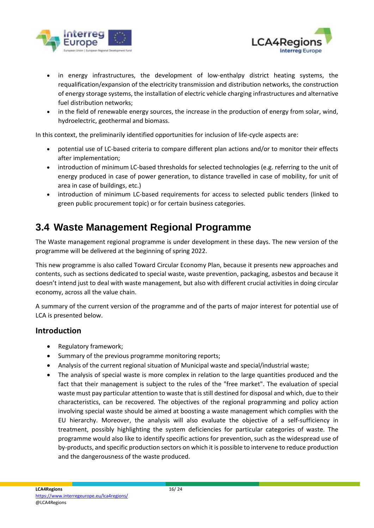



- in energy infrastructures, the development of low-enthalpy district heating systems, the requalification/expansion of the electricity transmission and distribution networks, the construction of energy storage systems, the installation of electric vehicle charging infrastructures and alternative fuel distribution networks;
- in the field of renewable energy sources, the increase in the production of energy from solar, wind, hydroelectric, geothermal and biomass.

In this context, the preliminarily identified opportunities for inclusion of life-cycle aspects are:

- potential use of LC-based criteria to compare different plan actions and/or to monitor their effects after implementation;
- introduction of minimum LC-based thresholds for selected technologies (e.g. referring to the unit of energy produced in case of power generation, to distance travelled in case of mobility, for unit of area in case of buildings, etc.)
- introduction of minimum LC-based requirements for access to selected public tenders (linked to green public procurement topic) or for certain business categories.

## <span id="page-15-0"></span>**3.4 Waste Management Regional Programme**

The Waste management regional programme is under development in these days. The new version of the programme will be delivered at the beginning of spring 2022.

This new programme is also called Toward Circular Economy Plan, because it presents new approaches and contents, such as sections dedicated to special waste, waste prevention, packaging, asbestos and because it doesn't intend just to deal with waste management, but also with different crucial activities in doing circular economy, across all the value chain.

A summary of the current version of the programme and of the parts of major interest for potential use of LCA is presented below.

#### **Introduction**

- Regulatory framework;
- Summary of the previous programme monitoring reports;
- Analysis of the current regional situation of Municipal waste and special/industrial waste;
- The analysis of special waste is more complex in relation to the large quantities produced and the fact that their management is subject to the rules of the "free market". The evaluation of special waste must pay particular attention to waste that is still destined for disposal and which, due to their characteristics, can be recovered. The objectives of the regional programming and policy action involving special waste should be aimed at boosting a waste management which complies with the EU hierarchy. Moreover, the analysis will also evaluate the objective of a self-sufficiency in treatment, possibly highlighting the system deficiencies for particular categories of waste. The programme would also like to identify specific actions for prevention, such as the widespread use of by-products, and specific production sectors on which it is possible to intervene to reduce production and the dangerousness of the waste produced.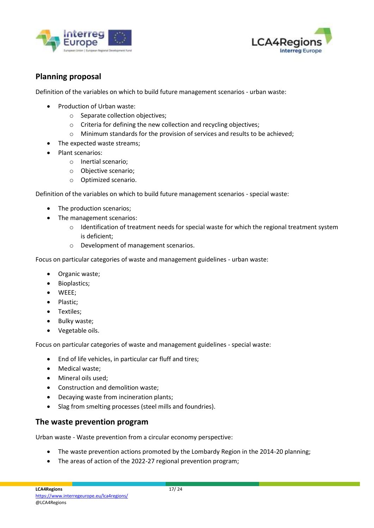



### **Planning proposal**

Definition of the variables on which to build future management scenarios - urban waste:

- Production of Urban waste:
	- o Separate collection objectives;
	- o Criteria for defining the new collection and recycling objectives;
	- o Minimum standards for the provision of services and results to be achieved;
- The expected waste streams;
- Plant scenarios:
	- o Inertial scenario;
	- o Objective scenario;
	- o Optimized scenario.

Definition of the variables on which to build future management scenarios - special waste:

- The production scenarios;
- The management scenarios:
	- $\circ$  Identification of treatment needs for special waste for which the regional treatment system is deficient;
	- o Development of management scenarios.

Focus on particular categories of waste and management guidelines - urban waste:

- Organic waste;
- Bioplastics;
- WEEE;
- Plastic;
- Textiles;
- Bulky waste;
- Vegetable oils.

Focus on particular categories of waste and management guidelines - special waste:

- End of life vehicles, in particular car fluff and tires;
- Medical waste;
- Mineral oils used;
- Construction and demolition waste;
- Decaying waste from incineration plants;
- Slag from smelting processes (steel mills and foundries).

#### **The waste prevention program**

Urban waste - Waste prevention from a circular economy perspective:

- The waste prevention actions promoted by the Lombardy Region in the 2014-20 planning;
- The areas of action of the 2022-27 regional prevention program;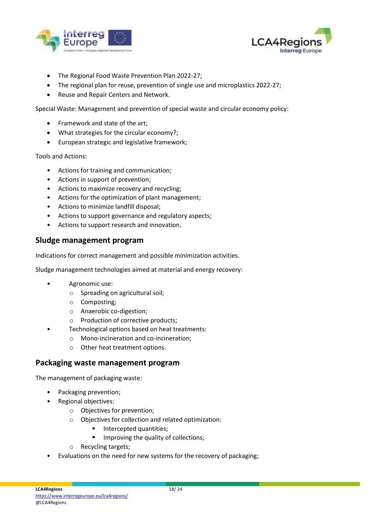



- The Regional Food Waste Prevention Plan 2022-27;
- The regional plan for reuse, prevention of single use and microplastics 2022-27;
- Reuse and Repair Centers and Network.

Special Waste: Management and prevention of special waste and circular economy policy:

- Framework and state of the art;
- What strategies for the circular economy?;
- European strategic and legislative framework;

#### Tools and Actions:

- Actions for training and communication;
- Actions in support of prevention;
- Actions to maximize recovery and recycling;
- Actions for the optimization of plant management;
- Actions to minimize landfill disposal;
- Actions to support governance and regulatory aspects;
- Actions to support research and innovation.

#### **Sludge management program**

Indications for correct management and possible minimization activities.

Sludge management technologies aimed at material and energy recovery:

- Agronomic use:
	- o Spreading on agricultural soil;
	- o Composting;
	- o Anaerobic co-digestion;
	- o Production of corrective products;
	- Technological options based on heat treatments:
		- o Mono-incineration and co-incineration;
		- o Other heat treatment options.

#### **Packaging waste management program**

The management of packaging waste:

- Packaging prevention;
- Regional objectives:
	- o Objectives for prevention;
	- o Objectives for collection and related optimization:
		- Intercepted quantities;
		- **■** Improving the quality of collections;
	- o Recycling targets;
- Evaluations on the need for new systems for the recovery of packaging;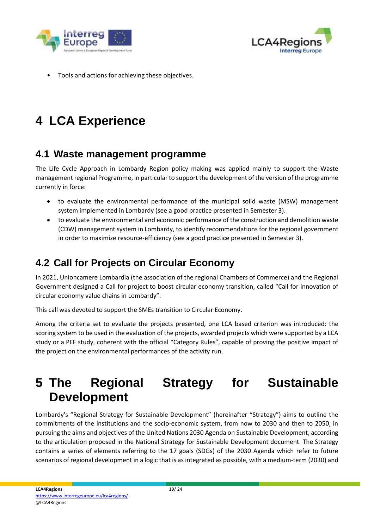



Tools and actions for achieving these objectives.

# <span id="page-18-0"></span>**4 LCA Experience**

### <span id="page-18-1"></span>**4.1 Waste management programme**

The Life Cycle Approach in Lombardy Region policy making was applied mainly to support the Waste management regional Programme, in particular to support the development of the version of the programme currently in force:

- to evaluate the environmental performance of the municipal solid waste (MSW) management system implemented in Lombardy (see a good practice presented in Semester 3).
- to evaluate the environmental and economic performance of the construction and demolition waste (CDW) management system in Lombardy, to identify recommendations for the regional government in order to maximize resource-efficiency (see a good practice presented in Semester 3).

## <span id="page-18-2"></span>**4.2 Call for Projects on Circular Economy**

In 2021, Unioncamere Lombardia (the association of the regional Chambers of Commerce) and the Regional Government designed a Call for project to boost circular economy transition, called "Call for innovation of circular economy value chains in Lombardy".

This call was devoted to support the SMEs transition to Circular Economy.

Among the criteria set to evaluate the projects presented, one LCA based criterion was introduced: the scoring system to be used in the evaluation of the projects, awarded projects which were supported by a LCA study or a PEF study, coherent with the official "Category Rules", capable of proving the positive impact of the project on the environmental performances of the activity run.

## <span id="page-18-3"></span>**5 The Regional Strategy for Sustainable Development**

Lombardy's "Regional Strategy for Sustainable Development" (hereinafter "Strategy") aims to outline the commitments of the institutions and the socio-economic system, from now to 2030 and then to 2050, in pursuing the aims and objectives of the United Nations 2030 Agenda on Sustainable Development, according to the articulation proposed in the National Strategy for Sustainable Development document. The Strategy contains a series of elements referring to the 17 goals (SDGs) of the 2030 Agenda which refer to future scenarios of regional development in a logic that is as integrated as possible, with a medium-term (2030) and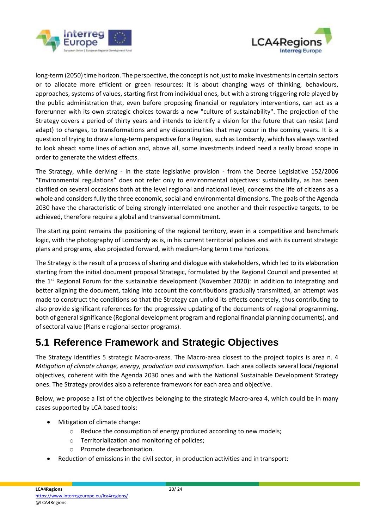



long-term (2050) time horizon. The perspective, the concept is not just to make investments in certain sectors or to allocate more efficient or green resources: it is about changing ways of thinking, behaviours, approaches, systems of values, starting first from individual ones, but with a strong triggering role played by the public administration that, even before proposing financial or regulatory interventions, can act as a forerunner with its own strategic choices towards a new "culture of sustainability". The projection of the Strategy covers a period of thirty years and intends to identify a vision for the future that can resist (and adapt) to changes, to transformations and any discontinuities that may occur in the coming years. It is a question of trying to draw a long-term perspective for a Region, such as Lombardy, which has always wanted to look ahead: some lines of action and, above all, some investments indeed need a really broad scope in order to generate the widest effects.

The Strategy, while deriving - in the state legislative provision - from the Decree Legislative 152/2006 "Environmental regulations" does not refer only to environmental objectives: sustainability, as has been clarified on several occasions both at the level regional and national level, concerns the life of citizens as a whole and considersfully the three economic, social and environmental dimensions. The goals of the Agenda 2030 have the characteristic of being strongly interrelated one another and their respective targets, to be achieved, therefore require a global and transversal commitment.

The starting point remains the positioning of the regional territory, even in a competitive and benchmark logic, with the photography of Lombardy as is, in his current territorial policies and with its current strategic plans and programs, also projected forward, with medium-long term time horizons.

The Strategy is the result of a process of sharing and dialogue with stakeholders, which led to its elaboration starting from the initial document proposal Strategic, formulated by the Regional Council and presented at the 1<sup>st</sup> Regional Forum for the sustainable development (November 2020): in addition to integrating and better aligning the document, taking into account the contributions gradually transmitted, an attempt was made to construct the conditions so that the Strategy can unfold its effects concretely, thus contributing to also provide significant references for the progressive updating of the documents of regional programming, both of general significance (Regional development program and regional financial planning documents), and of sectoral value (Plans e regional sector programs).

### <span id="page-19-0"></span>**5.1 Reference Framework and Strategic Objectives**

The Strategy identifies 5 strategic Macro-areas. The Macro-area closest to the project topics is area n. 4 *Mitigation of climate change, energy, production and consumption*. Each area collects several local/regional objectives, coherent with the Agenda 2030 ones and with the National Sustainable Development Strategy ones. The Strategy provides also a reference framework for each area and objective.

Below, we propose a list of the objectives belonging to the strategic Macro-area 4, which could be in many cases supported by LCA based tools:

- Mitigation of climate change:
	- o Reduce the consumption of energy produced according to new models;
	- o Territorialization and monitoring of policies;
	- o Promote decarbonisation.
- Reduction of emissions in the civil sector, in production activities and in transport: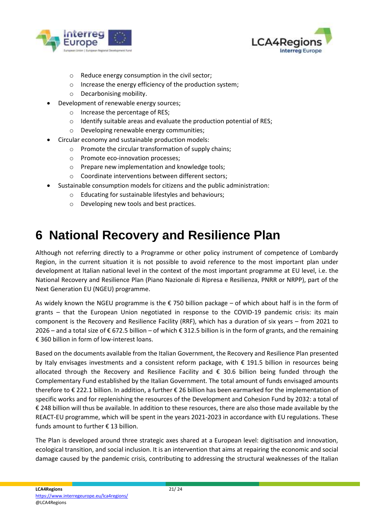



- o Reduce energy consumption in the civil sector;
- o Increase the energy efficiency of the production system;
- o Decarbonising mobility.
- Development of renewable energy sources;
	- o Increase the percentage of RES;
	- o Identify suitable areas and evaluate the production potential of RES;
	- o Developing renewable energy communities;
- Circular economy and sustainable production models:
	- o Promote the circular transformation of supply chains;
	- o Promote eco-innovation processes;
	- o Prepare new implementation and knowledge tools;
	- o Coordinate interventions between different sectors;
- Sustainable consumption models for citizens and the public administration:
	- o Educating for sustainable lifestyles and behaviours;
	- o Developing new tools and best practices.

## <span id="page-20-0"></span>**6 National Recovery and Resilience Plan**

Although not referring directly to a Programme or other policy instrument of competence of Lombardy Region, in the current situation it is not possible to avoid reference to the most important plan under development at Italian national level in the context of the most important programme at EU level, i.e. the National Recovery and Resilience Plan (Piano Nazionale di Ripresa e Resilienza, PNRR or NRPP), part of the Next Generation EU (NGEU) programme.

As widely known the NGEU programme is the  $\epsilon$  750 billion package – of which about half is in the form of grants – that the European Union negotiated in response to the COVID-19 pandemic crisis: its main component is the Recovery and Resilience Facility (RRF), which has a duration of six years – from 2021 to 2026 – and a total size of € 672.5 billion – of which € 312.5 billion is in the form of grants, and the remaining € 360 billion in form of low-interest loans.

Based on the documents available from the Italian Government, the Recovery and Resilience Plan presented by Italy envisages investments and a consistent reform package, with € 191.5 billion in resources being allocated through the Recovery and Resilience Facility and € 30.6 billion being funded through the Complementary Fund established by the Italian Government. The total amount of funds envisaged amounts therefore to € 222.1 billion. In addition, a further € 26 billion has been earmarked for the implementation of specific works and for replenishing the resources of the Development and Cohesion Fund by 2032: a total of € 248 billion will thus be available. In addition to these resources, there are also those made available by the REACT-EU programme, which will be spent in the years 2021-2023 in accordance with EU regulations. These funds amount to further € 13 billion.

The Plan is developed around three strategic axes shared at a European level: digitisation and innovation, ecological transition, and social inclusion. It is an intervention that aims at repairing the economic and social damage caused by the pandemic crisis, contributing to addressing the structural weaknesses of the Italian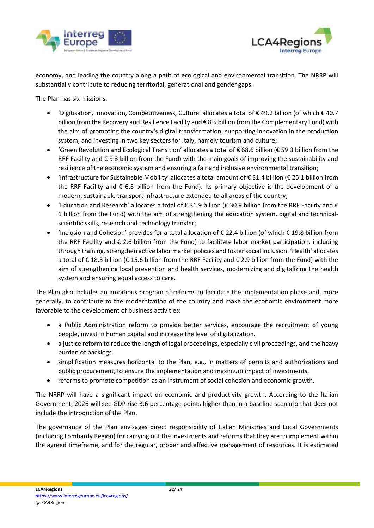



economy, and leading the country along a path of ecological and environmental transition. The NRRP will substantially contribute to reducing territorial, generational and gender gaps.

The Plan has six missions.

- 'Digitisation, Innovation, Competitiveness, Culture' allocates a total of € 49.2 billion (of which € 40.7 billion from the Recovery and Resilience Facility and € 8.5 billion from the Complementary Fund) with the aim of promoting the country's digital transformation, supporting innovation in the production system, and investing in two key sectors for Italy, namely tourism and culture;
- 'Green Revolution and Ecological Transition' allocates a total of € 68.6 billion (€ 59.3 billion from the RRF Facility and € 9.3 billion from the Fund) with the main goals of improving the sustainability and resilience of the economic system and ensuring a fair and inclusive environmental transition;
- 'Infrastructure for Sustainable Mobility' allocates a total amount of € 31.4 billion (€ 25.1 billion from the RRF Facility and € 6.3 billion from the Fund). Its primary objective is the development of a modern, sustainable transport infrastructure extended to all areas of the country;
- 'Education and Research' allocates a total of € 31.9 billion (€ 30.9 billion from the RRF Facility and € 1 billion from the Fund) with the aim of strengthening the education system, digital and technicalscientific skills, research and technology transfer;
- 'Inclusion and Cohesion' provides for a total allocation of € 22.4 billion (of which € 19.8 billion from the RRF Facility and € 2.6 billion from the Fund) to facilitate labor market participation, including through training, strengthen active labor market policies and foster social inclusion. 'Health' allocates a total of € 18.5 billion (€ 15.6 billion from the RRF Facility and € 2.9 billion from the Fund) with the aim of strengthening local prevention and health services, modernizing and digitalizing the health system and ensuring equal access to care.

The Plan also includes an ambitious program of reforms to facilitate the implementation phase and, more generally, to contribute to the modernization of the country and make the economic environment more favorable to the development of business activities:

- a Public Administration reform to provide better services, encourage the recruitment of young people, invest in human capital and increase the level of digitalization.
- a justice reform to reduce the length of legal proceedings, especially civil proceedings, and the heavy burden of backlogs.
- simplification measures horizontal to the Plan, e.g., in matters of permits and authorizations and public procurement, to ensure the implementation and maximum impact of investments.
- reforms to promote competition as an instrument of social cohesion and economic growth.

The NRRP will have a significant impact on economic and productivity growth. According to the Italian Government, 2026 will see GDP rise 3.6 percentage points higher than in a baseline scenario that does not include the introduction of the Plan.

The governance of the Plan envisages direct responsibility of Italian Ministries and Local Governments (including Lombardy Region) for carrying out the investments and reforms that they are to implement within the agreed timeframe, and for the regular, proper and effective management of resources. It is estimated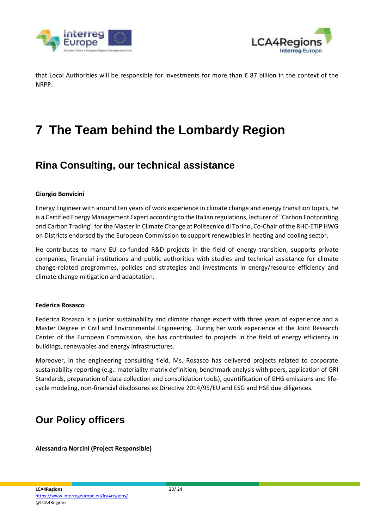



that Local Authorities will be responsible for investments for more than € 87 billion in the context of the NRPP.

## <span id="page-22-0"></span>**7 The Team behind the Lombardy Region**

### <span id="page-22-1"></span>**Rina Consulting, our technical assistance**

#### **Giorgio Bonvicini**

Energy Engineer with around ten years of work experience in climate change and energy transition topics, he is a Certified Energy Management Expert according to the Italian regulations, lecturer of "Carbon Footprinting and Carbon Trading" for the Master in Climate Change at Politecnico di Torino, Co-Chair of the RHC-ETIP HWG on Districts endorsed by the European Commission to support renewables in heating and cooling sector.

He contributes to many EU co-funded R&D projects in the field of energy transition, supports private companies, financial institutions and public authorities with studies and technical assistance for climate change-related programmes, policies and strategies and investments in energy/resource efficiency and climate change mitigation and adaptation.

#### **Federica Rosasco**

Federica Rosasco is a junior sustainability and climate change expert with three years of experience and a Master Degree in Civil and Environmental Engineering. During her work experience at the Joint Research Center of the European Commission, she has contributed to projects in the field of energy efficiency in buildings, renewables and energy infrastructures.

Moreover, in the engineering consulting field, Ms. Rosasco has delivered projects related to corporate sustainability reporting (e.g.: materiality matrix definition, benchmark analysis with peers, application of GRI Standards, preparation of data collection and consolidation tools), quantification of GHG emissions and lifecycle modeling, non-financial disclosures ex Directive 2014/95/EU and ESG and HSE due diligences.

### <span id="page-22-2"></span>**Our Policy officers**

**Alessandra Norcini (Project Responsible)**